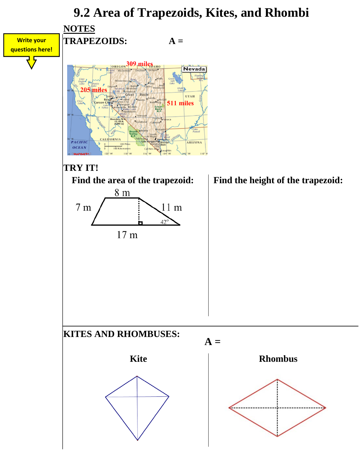## **9.2 Area of Trapezoids, Kites, and Rhombi**

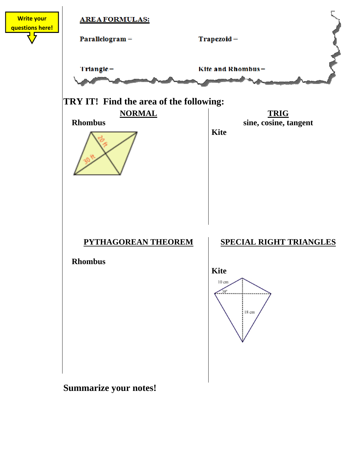

**Summarize your notes!**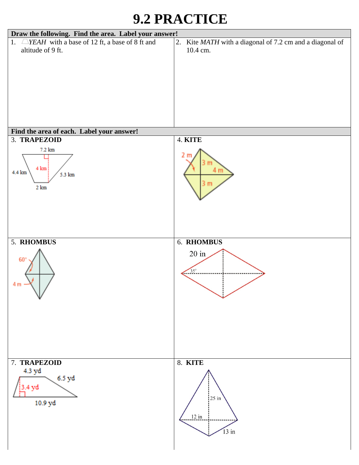## **9.2 PRACTICE**

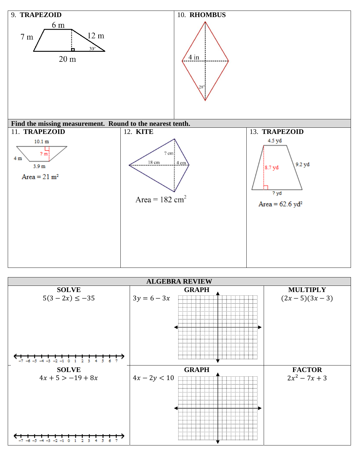

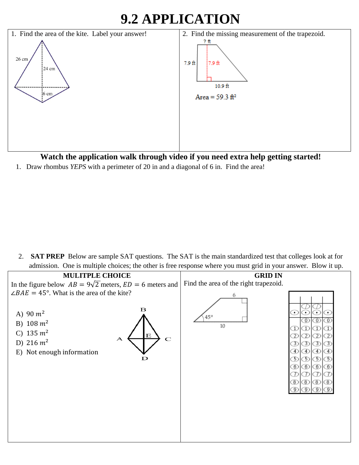## **9.2 APPLICATION**



**Watch the application walk through video if you need extra help getting started!** 

1. Draw rhombus *YEPS* with a perimeter of 20 in and a diagonal of 6 in. Find the area!

2. **SAT PREP** Below are sample SAT questions. The SAT is the main standardized test that colleges look at for admission. One is multiple choices; the other is free response where you must grid in your answer. Blow it up.